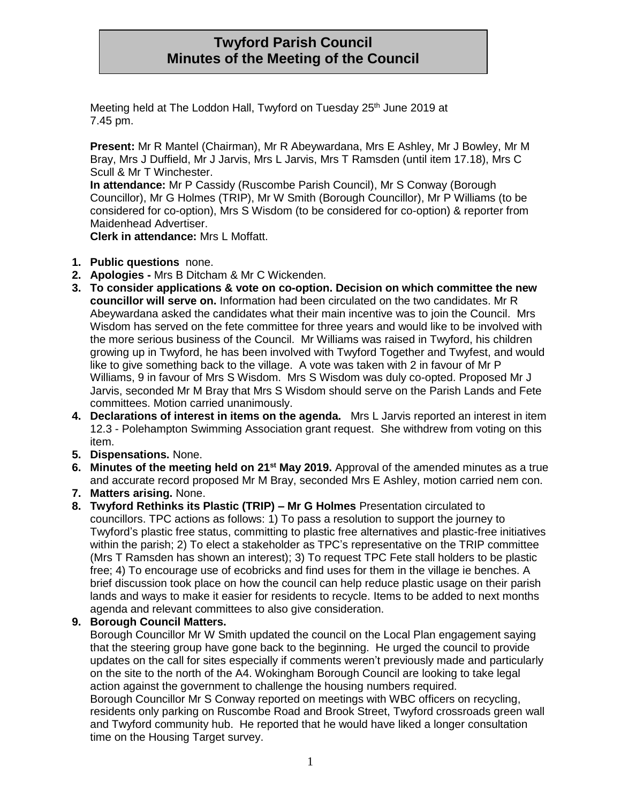# **Twyford Parish Council Minutes of the Meeting of the Council**

Meeting held at The Loddon Hall, Twyford on Tuesday 25<sup>th</sup> June 2019 at 7.45 pm.

**Present:** Mr R Mantel (Chairman), Mr R Abeywardana, Mrs E Ashley, Mr J Bowley, Mr M Bray, Mrs J Duffield, Mr J Jarvis, Mrs L Jarvis, Mrs T Ramsden (until item 17.18), Mrs C Scull & Mr T Winchester.

**In attendance:** Mr P Cassidy (Ruscombe Parish Council), Mr S Conway (Borough Councillor), Mr G Holmes (TRIP), Mr W Smith (Borough Councillor), Mr P Williams (to be considered for co-option), Mrs S Wisdom (to be considered for co-option) & reporter from Maidenhead Advertiser.

**Clerk in attendance:** Mrs L Moffatt.

- **1. Public questions** none.
- **2. Apologies -** Mrs B Ditcham & Mr C Wickenden.
- **3. To consider applications & vote on co-option. Decision on which committee the new councillor will serve on.** Information had been circulated on the two candidates. Mr R Abeywardana asked the candidates what their main incentive was to join the Council. Mrs Wisdom has served on the fete committee for three years and would like to be involved with the more serious business of the Council. Mr Williams was raised in Twyford, his children growing up in Twyford, he has been involved with Twyford Together and Twyfest, and would like to give something back to the village. A vote was taken with 2 in favour of Mr P Williams, 9 in favour of Mrs S Wisdom. Mrs S Wisdom was duly co-opted. Proposed Mr J Jarvis, seconded Mr M Bray that Mrs S Wisdom should serve on the Parish Lands and Fete committees. Motion carried unanimously.
- **4. Declarations of interest in items on the agenda.** Mrs L Jarvis reported an interest in item 12.3 - Polehampton Swimming Association grant request. She withdrew from voting on this item.
- **5. Dispensations.** None.
- **6. Minutes of the meeting held on 21st May 2019.** Approval of the amended minutes as a true and accurate record proposed Mr M Bray, seconded Mrs E Ashley, motion carried nem con.
- **7. Matters arising.** None.
- **8. Twyford Rethinks its Plastic (TRIP) – Mr G Holmes** Presentation circulated to councillors. TPC actions as follows: 1) To pass a resolution to support the journey to Twyford's plastic free status, committing to plastic free alternatives and plastic-free initiatives within the parish; 2) To elect a stakeholder as TPC's representative on the TRIP committee (Mrs T Ramsden has shown an interest); 3) To request TPC Fete stall holders to be plastic free; 4) To encourage use of ecobricks and find uses for them in the village ie benches. A brief discussion took place on how the council can help reduce plastic usage on their parish lands and ways to make it easier for residents to recycle. Items to be added to next months agenda and relevant committees to also give consideration.
- **9. Borough Council Matters.**

time on the Housing Target survey.

Borough Councillor Mr W Smith updated the council on the Local Plan engagement saying that the steering group have gone back to the beginning. He urged the council to provide updates on the call for sites especially if comments weren't previously made and particularly on the site to the north of the A4. Wokingham Borough Council are looking to take legal action against the government to challenge the housing numbers required. Borough Councillor Mr S Conway reported on meetings with WBC officers on recycling, residents only parking on Ruscombe Road and Brook Street, Twyford crossroads green wall and Twyford community hub. He reported that he would have liked a longer consultation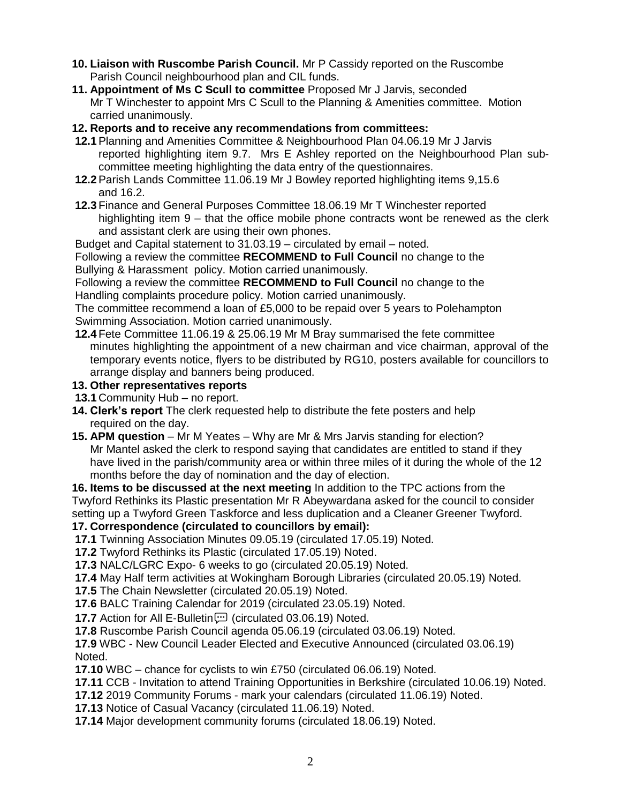- **10. Liaison with Ruscombe Parish Council.** Mr P Cassidy reported on the Ruscombe Parish Council neighbourhood plan and CIL funds.
- **11. Appointment of Ms C Scull to committee** Proposed Mr J Jarvis, seconded Mr T Winchester to appoint Mrs C Scull to the Planning & Amenities committee. Motion carried unanimously.
- **12. Reports and to receive any recommendations from committees:**
- **12.1**Planning and Amenities Committee & Neighbourhood Plan 04.06.19 Mr J Jarvis reported highlighting item 9.7. Mrs E Ashley reported on the Neighbourhood Plan subcommittee meeting highlighting the data entry of the questionnaires.
- **12.2**Parish Lands Committee 11.06.19 Mr J Bowley reported highlighting items 9,15.6 and 16.2.
- **12.3** Finance and General Purposes Committee 18.06.19 Mr T Winchester reported highlighting item 9 – that the office mobile phone contracts wont be renewed as the clerk and assistant clerk are using their own phones.

Budget and Capital statement to 31.03.19 – circulated by email – noted.

Following a review the committee **RECOMMEND to Full Council** no change to the Bullying & Harassment policy. Motion carried unanimously.

Following a review the committee **RECOMMEND to Full Council** no change to the Handling complaints procedure policy. Motion carried unanimously.

The committee recommend a loan of £5,000 to be repaid over 5 years to Polehampton Swimming Association. Motion carried unanimously.

- **12.4** Fete Committee 11.06.19 & 25.06.19 Mr M Bray summarised the fete committee minutes highlighting the appointment of a new chairman and vice chairman, approval of the temporary events notice, flyers to be distributed by RG10, posters available for councillors to arrange display and banners being produced.
- **13. Other representatives reports**
- **13.1** Community Hub no report.
- **14. Clerk's report** The clerk requested help to distribute the fete posters and help required on the day.
- **15. APM question** Mr M Yeates Why are Mr & Mrs Jarvis standing for election? Mr Mantel asked the clerk to respond saying that candidates are entitled to stand if they have lived in the parish/community area or within three miles of it during the whole of the 12 months before the day of nomination and the day of election.

**16. Items to be discussed at the next meeting** In addition to the TPC actions from the Twyford Rethinks its Plastic presentation Mr R Abeywardana asked for the council to consider setting up a Twyford Green Taskforce and less duplication and a Cleaner Greener Twyford.

#### **17. Correspondence (circulated to councillors by email):**

**17.1** Twinning Association Minutes 09.05.19 (circulated 17.05.19) Noted.

**17.2** Twyford Rethinks its Plastic (circulated 17.05.19) Noted.

**17.3** NALC/LGRC Expo- 6 weeks to go (circulated 20.05.19) Noted.

**17.4** May Half term activities at Wokingham Borough Libraries (circulated 20.05.19) Noted.

**17.5** The Chain Newsletter (circulated 20.05.19) Noted.

**17.6** BALC Training Calendar for 2019 (circulated 23.05.19) Noted.

**17.7** Action for All E-Bulletin [12] (circulated 03.06.19) Noted.

**17.8** Ruscombe Parish Council agenda 05.06.19 (circulated 03.06.19) Noted.

**17.9** WBC - New Council Leader Elected and Executive Announced (circulated 03.06.19) Noted.

**17.10** WBC – chance for cyclists to win £750 (circulated 06.06.19) Noted.

**17.11** CCB - Invitation to attend Training Opportunities in Berkshire (circulated 10.06.19) Noted.

**17.12** 2019 Community Forums - mark your calendars (circulated 11.06.19) Noted.

**17.13** Notice of Casual Vacancy (circulated 11.06.19) Noted.

**17.14** Major development community forums (circulated 18.06.19) Noted.